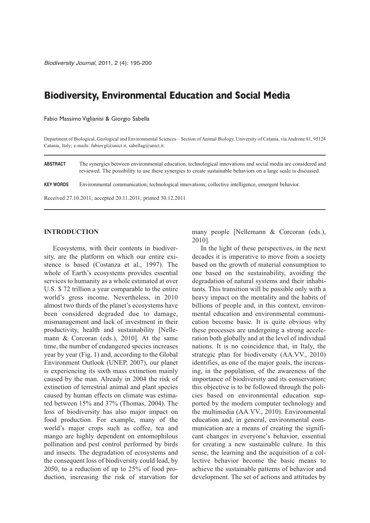# **Biodiversity, Environmental Education and Social Media**

Fabio Massimo Viglianisi & Giorgio Sabella

Department of Biological, Geological and Environmental Sciences – Section of Animal Biology, University of Catania, via Androne 81, 95124 Catania, Italy; e-mails: fabiovgl@unict.it, sabellag@unict.it.

**ABSTRACT** The synergies between environmental education, technological innovations and social media are considered and reviewed. The possibility to use these synergies to create sustainable behaviors on a large scale is discussed.

**KEY WORDS** Environmental communication; technological innovations; collective intelligence, emergent behavior.

Received 27.10.2011; accepted 20.11.2011; printed 30.12.2011

### **INTRODUCTION**

Ecosystems, with their contents in biodiversity, are the platform on which our entire existence is based (Costanza et al., 1997). The whole of Earth's ecosystems provides essential services to humanity as a whole estimated at over U.S. \$ 72 trillion a year comparable to the entire world's gross income. Nevertheless, in 2010 almost two thirds of the planet's ecosystems have been considered degraded due to damage, mismanagement and lack of investment in their productivity, health and sustainability [Nellemann & Corcoran (eds.), 2010]. At the same time, the number of endangered species increases year by year (Fig. 1) and, according to the Global Environment Outlook (UNEP, 2007), our planet is experiencing its sixth mass extinction mainly caused by the man. Already in 2004 the risk of extinction of terrestrial animal and plant species caused by human effects on climate was estimated between 15% and 37% (Thomas, 2004). The loss of biodiversity has also major impact on food production. For example, many of the world's major crops such as coffee, tea and mango are highly dependent on entomophilous pollination and pest control performed by birds and insects. The degradation of ecosystems and the consequent loss of biodiversity could lead, by 2050, to a reduction of up to 25% of food production, increasing the risk of starvation for many people [Nellemann & Corcoran (eds.), 2010].

In the light of these perspectives, in the next decades it is imperative to move from a society based on the growth of material consumption to one based on the sustainability, avoiding the degradation of natural systems and their inhabitants. This transition will be possible only with a heavy impact on the mentality and the habits of billions of people and, in this context, environmental education and environmental communication become basic. It is quite obvious why these processes are undergoing a strong acceleration both globally and at the level of individual nations. It is no coincidence that, in Italy, the strategic plan for biodiversity (AA.VV., 2010) identifies, as one of the major goals, the increasing, in the population, of the awareness of the importance of biodiversity and its conservation; this objective is to be followed through the policies based on environmental education supported by the modern computer technology and the multimedia (AA.VV., 2010). Environmental education and, in general, environmental communication are a means of creating the significant changes in everyone's behavior, essential for creating a new sustainable culture. In this sense, the learning and the acquisition of a collective behavior become the basic means to achieve the sustainable patterns of behavior and development. The set of actions and attitudes by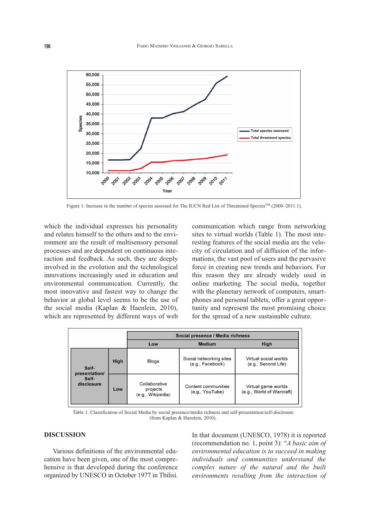

Figure 1. Increase in the number of species assessed for The IUCN Red List of Threatened Species™ (2000–2011.1).

which the individual expresses his personality and relates himself to the others and to the environment are the result of multisensory personal processes and are dependent on continuous interaction and feedback. As such, they are deeply involved in the evolution and the technological innovations increasingly used in education and environmental communication. Currently, the most innovative and fastest way to change the behavior at global level seems to be the use of the social media (Kaplan & Haenlein, 2010), which are represented by different ways of web

communication which range from networking sites to virtual worlds (Table 1). The most interesting features of the social media are the velocity of circulation and of diffusion of the informations, the vast pool of users and the pervasive force in creating new trends and behaviors. For this reason they are already widely used in online marketing. The social media, together with the planetary network of computers, smartphones and personal tablets, offer a great opportunity and represent the most promising choice for the spread of a new sustainable culture.

|                                               |      | Social presence / Media richness               |                                             |                                                  |
|-----------------------------------------------|------|------------------------------------------------|---------------------------------------------|--------------------------------------------------|
|                                               |      | Low                                            | <b>Medium</b>                               | High                                             |
| Self-<br>presentation/<br>Self-<br>disclosure | High | <b>Blogs</b>                                   | Social networking sites<br>(e.g., Facebook) | Virtual social worlds<br>(e.g., Second Life)     |
|                                               | Low  | Collaborative<br>projects<br>(e.g., Wikipedia) | Content communities<br>(e.g., YouTube)      | Virtual game worlds<br>(e.g., World of Warcraft) |

Table 1. Classification of Social Media by social presence/media richness and self-presentation/self-disclosure (from Kaplan & Haenlein, 2010).

## **DISCUSSION**

Various definitions of the environmental education have been given, one of the most comprehensive is that developed during the conference organized by UNESCO in October 1977 in Tbilisi.

In that document (UNESCO, 1978) it is reported (recommendation no. 1, point 3): "*A basic aim of environmental education is to succeed in making individuals and communities understand the complex nature of the natural and the built environments resulting from the interaction of*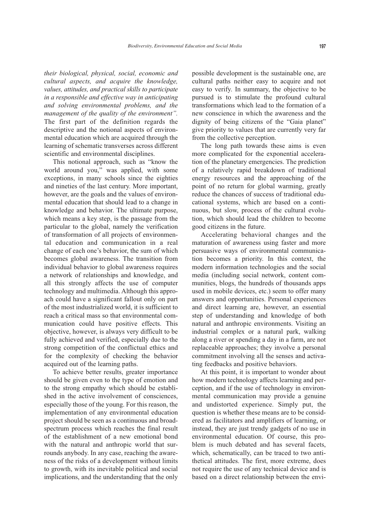*their biological, physical, social, economic and cultural aspects, and acquire the knowledge, values, attitudes, and practical skills to participate in a responsible and effective way in anticipating and solving environmental problems, and the management of the quality of the environment".* The first part of the definition regards the descriptive and the notional aspects of environmental education which are acquired through the learning of schematic transverses across different scientific and environmental disciplines.

This notional approach, such as "know the world around you," was applied, with some exceptions, in many schools since the eighties and nineties of the last century. More important, however, are the goals and the values of environmental education that should lead to a change in knowledge and behavior. The ultimate purpose, which means a key step, is the passage from the particular to the global, namely the verification of transformation of all projects of environmental education and communication in a real change of each one's behavior, the sum of which becomes global awareness. The transition from individual behavior to global awareness requires a network of relationships and knowledge, and all this strongly affects the use of computer technology and multimedia. Although this approach could have a significant fallout only on part of the most industrialized world, it is sufficient to reach a critical mass so that environmental communication could have positive effects. This objective, however, is always very difficult to be fully achieved and verified, especially due to the strong competition of the conflictual ethics and for the complexity of checking the behavior acquired out of the learning paths.

To achieve better results, greater importance should be given even to the type of emotion and to the strong empathy which should be established in the active involvement of consciences, especially those of the young. For this reason, the implementation of any environmental education project should be seen as a continuous and broadspectrum process which reaches the final result of the establishment of a new emotional bond with the natural and anthropic world that surrounds anybody. In any case, reaching the awareness of the risks of a development without limits to growth, with its inevitable political and social implications, and the understanding that the only

possible development is the sustainable one, are cultural paths neither easy to acquire and not easy to verify. In summary, the objective to be pursued is to stimulate the profound cultural transformations which lead to the formation of a new conscience in which the awareness and the dignity of being citizens of the "Gaia planet" give priority to values that are currently very far from the collective perception.

The long path towards these aims is even more complicated for the exponential acceleration of the planetary emergencies. The prediction of a relatively rapid breakdown of traditional energy resources and the approaching of the point of no return for global warming, greatly reduce the chances of success of traditional educational systems, which are based on a continuous, but slow, process of the cultural evolution, which should lead the children to become good citizens in the future.

Accelerating behavioral changes and the maturation of awareness using faster and more persuasive ways of environmental communication becomes a priority. In this context, the modern information technologies and the social media (including social network, content communities, blogs, the hundreds of thousands apps used in mobile devices, etc.) seem to offer many answers and opportunities. Personal experiences and direct learning are, however, an essential step of understanding and knowledge of both natural and anthropic environments. Visiting an industrial complex or a natural park, walking along a river or spending a day in a farm, are not replaceable approaches; they involve a personal commitment involving all the senses and activating feedbacks and positive behaviors.

At this point, it is important to wonder about how modern technology affects learning and perception, and if the use of technology in environmental communication may provide a genuine and undistorted experience. Simply put, the question is whether these means are to be considered as facilitators and amplifiers of learning, or instead, they are just trendy gadgets of no use in environmental education. Of course, this problem is much debated and has several facets, which, schematically, can be traced to two antithetical attitudes. The first, more extreme, does not require the use of any technical device and is based on a direct relationship between the envi-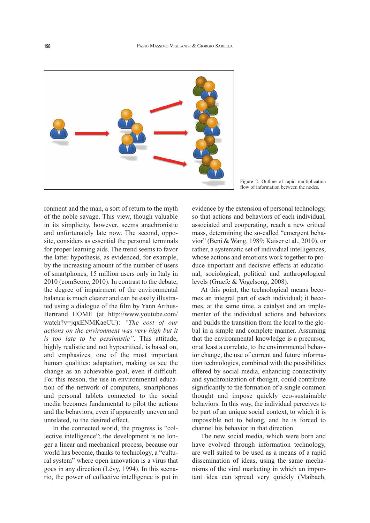

Figure 2. Outline of rapid multiplication flow of information between the nodes.

ronment and the man, a sort of return to the myth of the noble savage. This view, though valuable in its simplicity, however, seems anachronistic and unfortunately late now. The second, opposite, considers as essential the personal terminals for proper learning aids. The trend seems to favor the latter hypothesis, as evidenced, for example, by the increasing amount of the number of users of smartphones, 15 million users only in Italy in 2010 (comScore, 2010). In contrast to the debate, the degree of impairment of the environmental balance is much clearer and can be easily illustrated using a dialogue of the film by Yann Arthus-Bertrand HOME (at http://www.youtube.com/ watch?v=jqxENMKaeCU): *"The cost of our actions on the environment was very high but it is too late to be pessimistic"*. This attitude, highly realistic and not hypocritical, is based on, and emphasizes, one of the most important human qualities: adaptation, making us see the change as an achievable goal, even if difficult. For this reason, the use in environmental education of the network of computers, smartphones and personal tablets connected to the social media becomes fundamental to pilot the actions and the behaviors, even if apparently uneven and unrelated, to the desired effect.

In the connected world, the progress is "collective intelligence"; the development is no longer a linear and mechanical process, because our world has become, thanks to technology, a "cultural system" where open innovation is a virus that goes in any direction (Lévy, 1994). In this scenario, the power of collective intelligence is put in

evidence by the extension of personal technology, so that actions and behaviors of each individual, associated and cooperating, reach a new critical mass, determining the so-called "emergent behavior" (Beni & Wang, 1989; Kaiser et al., 2010), or rather, a systematic set of individual intelligences, whose actions and emotions work together to produce important and decisive effects at educational, sociological, political and anthropological levels (Graefe & Vogelsong, 2008).

At this point, the technological means becomes an integral part of each individual; it becomes, at the same time, a catalyst and an implementer of the individual actions and behaviors and builds the transition from the local to the global in a simple and complete manner. Assuming that the environmental knowledge is a precursor, or at least a correlate, to the environmental behavior change, the use of current and future information technologies, combined with the possibilities offered by social media, enhancing connectivity and synchronization of thought, could contribute significantly to the formation of a single common thought and impose quickly eco-sustainable behaviors. In this way, the individual perceives to be part of an unique social context, to which it is impossible not to belong, and he is forced to channel his behavior in that direction.

The new social media, which were born and have evolved through information technology, are well suited to be used as a means of a rapid dissemination of ideas, using the same mechanisms of the viral marketing in which an important idea can spread very quickly (Maibach,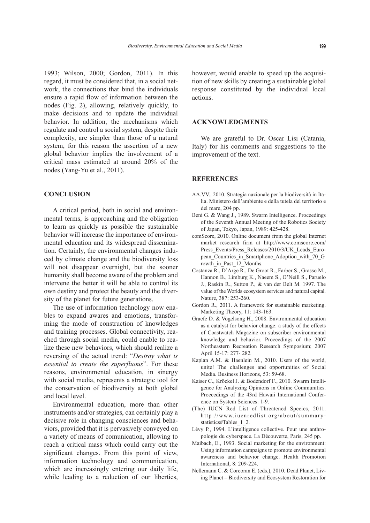1993; Wilson, 2000; Gordon, 2011). In this regard, it must be considered that, in a social network, the connections that bind the individuals ensure a rapid flow of information between the nodes (Fig. 2), allowing, relatively quickly, to make decisions and to update the individual behavior. In addition, the mechanisms which regulate and control a social system, despite their complexity, are simpler than those of a natural system, for this reason the assertion of a new global behavior implies the involvement of a critical mass estimated at around 20% of the nodes (Yang-Yu et al., 2011).

## **CONCLUSION**

A critical period, both in social and environmental terms, is approaching and the obligation to learn as quickly as possible the sustainable behavior will increase the importance of environmental education and its widespread dissemination. Certainly, the environmental changes induced by climate change and the biodiversity loss will not disappear overnight, but the sooner humanity shall become aware of the problem and intervene the better it will be able to control its own destiny and protect the beauty and the diversity of the planet for future generations.

The use of information technology now enables to expand awares and emotions, transforming the mode of construction of knowledges and training processes. Global connectivity, reached through social media, could enable to realize these new behaviors, which should realize a reversing of the actual trend: "*Destroy what is essential to create the superfluous*". For these reasons, environmental education, in sinergy with social media, represents a strategic tool for the conservation of biodiversity at both global and local level.

Environmental education, more than other instruments and/or strategies, can certainly play a decisive role in changing consciences and behaviors, provided that it is pervasively conveyed on a variety of means of comunication, allowing to reach a critical mass which could carry out the significant changes. From this point of view, information technology and communication, which are increasingly entering our daily life, while leading to a reduction of our liberties,

however, would enable to speed up the acquisition of new skills by creating a sustainable global response constituted by the individual local actions.

#### **ACKNOWLEDGMENTS**

We are grateful to Dr. Oscar Lisi (Catania, Italy) for his comments and suggestions to the improvement of the text.

#### **REFERENCES**

- AA.VV., 2010. Strategia nazionale per la biodiversità in Italia. Ministero dell'ambiente e della tutela del territorio e del mare, 204 pp.
- Beni G. & Wang J., 1989. Swarm Intelligence. Proceedings of the Seventh Annual Meeting of the Robotics Society of Japan, Tokyo, Japan, 1989: 425-428.
- comScore, 2010. Online document from the global Internet market research firm at http://www.comscore.com/ Press\_Events/Press\_Releases/2010/3/UK\_Leads\_European Countries in Smartphone Adoption with 70 G rowth in Past 12 Months.
- Costanza R., D'Arge R., De Groot R., Farber S., Grasso M., Hannon B., Limburg K., Naeem S., O'Neill S., Paruelo J., Raskin R., Sutton P., & van der Belt M. 1997. The value of the Worlds ecosystem services and natural capital. Nature, 387: 253-260.
- Gordon R., 2011. A framework for sustainable marketing. Marketing Theory, 11: 143-163.
- Graefe D. & Vogelsong H., 2008. Environmental education as a catalyst for behavior change: a study of the effects of Coastwatch Magazine on subscriber environmental knowledge and behavior. Proceedings of the 2007 Northeastern Recreation Research Symposium; 2007 April 15-17: 277- 282*.*
- Kaplan A.M. & Haenlein M., 2010. Users of the world, unite! The challenges and opportunities of Social Media. Business Horizons, 53: 59-68.
- Kaiser C., Kröckel J. & Bodendorf F., 2010. Swarm Intelligence for Analyzing Opinions in Online Communities. Proceedings of the 43rd Hawaii International Conference on System Sciences: 1-9.
- (The) IUCN Red List of Threatened Species, 2011. http://www.iucnredlist.org/about/summarystatistics#Tables 1 2.
- Lévy P., 1994. L'intelligence collective. Pour une anthropologie du cyberspace. La Découverte, Paris, 245 pp.
- Maibach, E., 1993. Social marketing for the environment: Using information campaigns to promote environmental awareness and behavior change. Health Promotion International, 8: 209-224.
- Nellemann C. & Corcoran E. (eds.), 2010. Dead Planet, Living Planet – Biodiversity and Ecosystem Restoration for